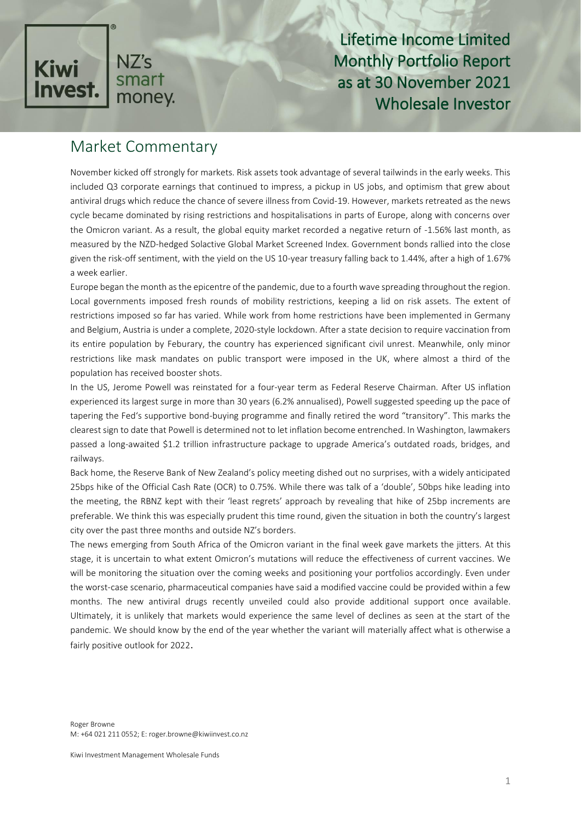

Lifetime Income Limited Monthly Portfolio Report as at 30 November 2021 Wholesale Investor

# Market Commentary

November kicked off strongly for markets. Risk assets took advantage of several tailwinds in the early weeks. This included Q3 corporate earnings that continued to impress, a pickup in US jobs, and optimism that grew about antiviral drugs which reduce the chance of severe illness from Covid-19. However, markets retreated as the news cycle became dominated by rising restrictions and hospitalisations in parts of Europe, along with concerns over the Omicron variant. As a result, the global equity market recorded a negative return of -1.56% last month, as measured by the NZD-hedged Solactive Global Market Screened Index. Government bonds rallied into the close given the risk-off sentiment, with the yield on the US 10-year treasury falling back to 1.44%, after a high of 1.67% a week earlier.

Europe began the month as the epicentre of the pandemic, due to a fourth wave spreading throughout the region. Local governments imposed fresh rounds of mobility restrictions, keeping a lid on risk assets. The extent of restrictions imposed so far has varied. While work from home restrictions have been implemented in Germany and Belgium, Austria is under a complete, 2020-style lockdown. After a state decision to require vaccination from its entire population by Feburary, the country has experienced significant civil unrest. Meanwhile, only minor restrictions like mask mandates on public transport were imposed in the UK, where almost a third of the population has received booster shots.

In the US, Jerome Powell was reinstated for a four-year term as Federal Reserve Chairman. After US inflation experienced its largest surge in more than 30 years (6.2% annualised), Powell suggested speeding up the pace of tapering the Fed's supportive bond-buying programme and finally retired the word "transitory". This marks the clearest sign to date that Powell is determined not to let inflation become entrenched. In Washington, lawmakers passed a long-awaited \$1.2 trillion infrastructure package to upgrade America's outdated roads, bridges, and railways.

Back home, the Reserve Bank of New Zealand's policy meeting dished out no surprises, with a widely anticipated 25bps hike of the Official Cash Rate (OCR) to 0.75%. While there was talk of a 'double', 50bps hike leading into the meeting, the RBNZ kept with their 'least regrets' approach by revealing that hike of 25bp increments are preferable. We think this was especially prudent this time round, given the situation in both the country's largest city over the past three months and outside NZ's borders.

The news emerging from South Africa of the Omicron variant in the final week gave markets the jitters. At this stage, it is uncertain to what extent Omicron's mutations will reduce the effectiveness of current vaccines. We will be monitoring the situation over the coming weeks and positioning your portfolios accordingly. Even under the worst-case scenario, pharmaceutical companies have said a modified vaccine could be provided within a few months. The new antiviral drugs recently unveiled could also provide additional support once available. Ultimately, it is unlikely that markets would experience the same level of declines as seen at the start of the pandemic. We should know by the end of the year whether the variant will materially affect what is otherwise a fairly positive outlook for 2022.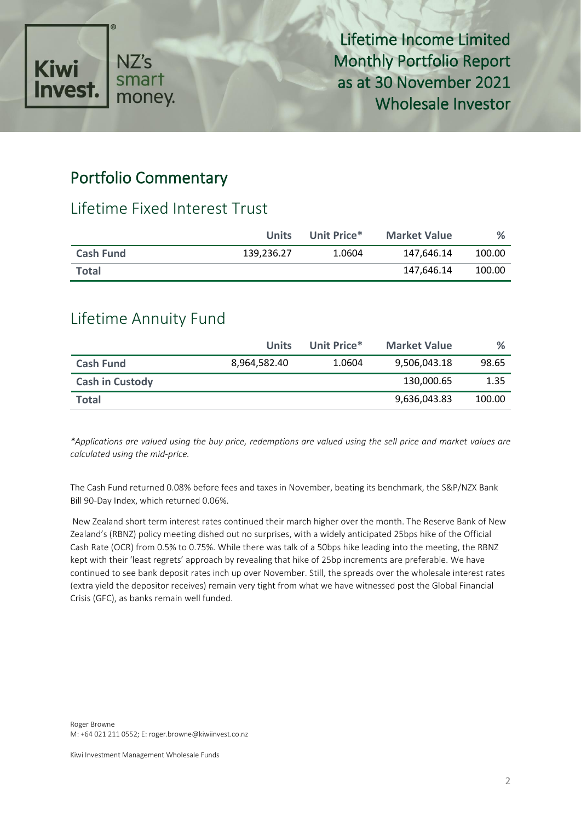

Lifetime Income Limited Monthly Portfolio Report as at 30 November 2021 Wholesale Investor

## Portfolio Commentary

#### Lifetime Fixed Interest Trust

|                  | <b>Units</b> | Unit Price* | <b>Market Value</b> | %      |
|------------------|--------------|-------------|---------------------|--------|
| <b>Cash Fund</b> | 139,236.27   | 1.0604      | 147.646.14          | 100.00 |
| <b>Total</b>     |              |             | 147.646.14          | 100.00 |

### Lifetime Annuity Fund

|                        | <b>Units</b> | Unit Price* | <b>Market Value</b> | %      |
|------------------------|--------------|-------------|---------------------|--------|
| <b>Cash Fund</b>       | 8,964,582.40 | 1.0604      | 9,506,043.18        | 98.65  |
| <b>Cash in Custody</b> |              |             | 130,000.65          | 1.35   |
| <b>Total</b>           |              |             | 9,636,043.83        | 100.00 |

*\*Applications are valued using the buy price, redemptions are valued using the sell price and market values are calculated using the mid-price.*

The Cash Fund returned 0.08% before fees and taxes in November, beating its benchmark, the S&P/NZX Bank Bill 90-Day Index, which returned 0.06%.

New Zealand short term interest rates continued their march higher over the month. The Reserve Bank of New Zealand's (RBNZ) policy meeting dished out no surprises, with a widely anticipated 25bps hike of the Official Cash Rate (OCR) from 0.5% to 0.75%. While there was talk of a 50bps hike leading into the meeting, the RBNZ kept with their 'least regrets' approach by revealing that hike of 25bp increments are preferable. We have continued to see bank deposit rates inch up over November. Still, the spreads over the wholesale interest rates (extra yield the depositor receives) remain very tight from what we have witnessed post the Global Financial Crisis (GFC), as banks remain well funded.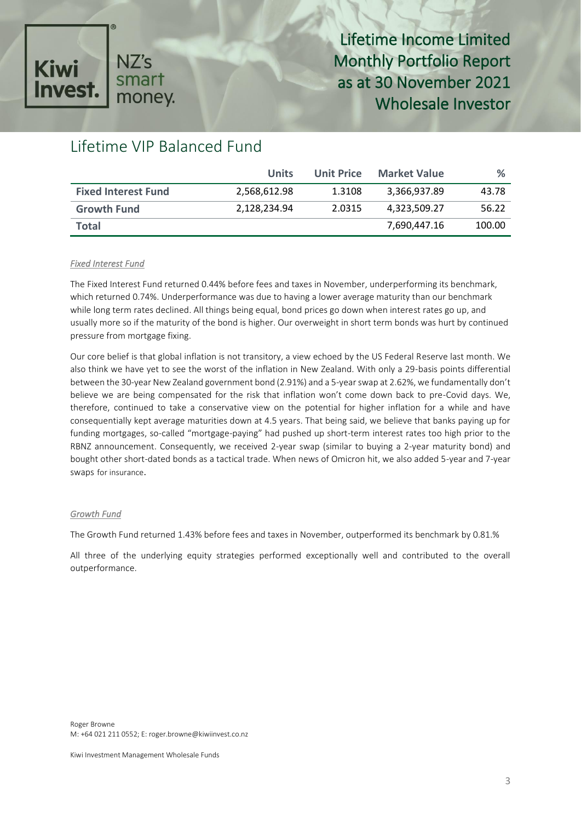

Lifetime Income Limited Monthly Portfolio Report as at 30 November 2021 Wholesale Investor

## Lifetime VIP Balanced Fund

|                            | Units        | Unit Price | <b>Market Value</b> | %      |
|----------------------------|--------------|------------|---------------------|--------|
| <b>Fixed Interest Fund</b> | 2,568,612.98 | 1.3108     | 3,366,937.89        | 43.78  |
| <b>Growth Fund</b>         | 2,128,234.94 | 2.0315     | 4,323,509.27        | 56.22  |
| Total                      |              |            | 7,690,447.16        | 100.00 |

#### *Fixed Interest Fund*

The Fixed Interest Fund returned 0.44% before fees and taxes in November, underperforming its benchmark, which returned 0.74%. Underperformance was due to having a lower average maturity than our benchmark while long term rates declined. All things being equal, bond prices go down when interest rates go up, and usually more so if the maturity of the bond is higher. Our overweight in short term bonds was hurt by continued pressure from mortgage fixing.

Our core belief is that global inflation is not transitory, a view echoed by the US Federal Reserve last month. We also think we have yet to see the worst of the inflation in New Zealand. With only a 29-basis points differential between the 30-year New Zealand government bond (2.91%) and a 5-year swap at 2.62%, we fundamentally don't believe we are being compensated for the risk that inflation won't come down back to pre-Covid days. We, therefore, continued to take a conservative view on the potential for higher inflation for a while and have consequentially kept average maturities down at 4.5 years. That being said, we believe that banks paying up for funding mortgages, so-called "mortgage-paying" had pushed up short-term interest rates too high prior to the RBNZ announcement. Consequently, we received 2-year swap (similar to buying a 2-year maturity bond) and bought other short-dated bonds as a tactical trade. When news of Omicron hit, we also added 5-year and 7-year swaps for insurance.

#### *Growth Fund*

The Growth Fund returned 1.43% before fees and taxes in November, outperformed its benchmark by 0.81.%

All three of the underlying equity strategies performed exceptionally well and contributed to the overall outperformance.